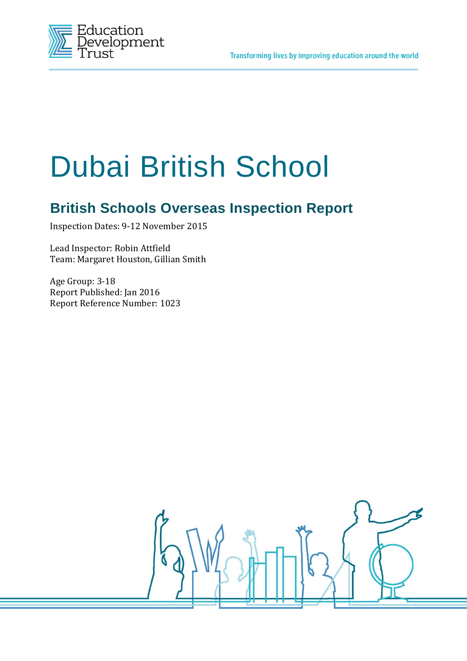

# Dubai British School

# **British Schools Overseas Inspection Report**

Inspection Dates: 9-12 November 2015

Lead Inspector: Robin Attfield Team: Margaret Houston, Gillian Smith

Age Group: 3-18 Report Published: Jan 2016 Report Reference Number: 1023

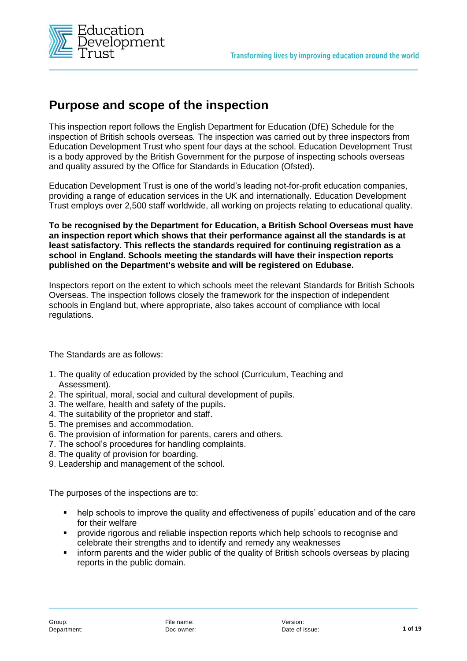

# **Purpose and scope of the inspection**

This inspection report follows the English Department for Education (DfE) Schedule for the inspection of British schools overseas*.* The inspection was carried out by three inspectors from Education Development Trust who spent four days at the school. Education Development Trust is a body approved by the British Government for the purpose of inspecting schools overseas and quality assured by the Office for Standards in Education (Ofsted).

Education Development Trust is one of the world's leading not-for-profit education companies, providing a range of education services in the UK and internationally. Education Development Trust employs over 2,500 staff worldwide, all working on projects relating to educational quality.

**To be recognised by the Department for Education, a British School Overseas must have an inspection report which shows that their performance against all the standards is at least satisfactory. This reflects the standards required for continuing registration as a school in England. Schools meeting the standards will have their inspection reports published on the Department's website and will be registered on Edubase.** 

Inspectors report on the extent to which schools meet the relevant Standards for British Schools Overseas. The inspection follows closely the framework for the inspection of independent schools in England but, where appropriate, also takes account of compliance with local regulations.

The Standards are as follows:

- 1. The quality of education provided by the school (Curriculum, Teaching and Assessment).
- 2. The spiritual, moral, social and cultural development of pupils.
- 3. The welfare, health and safety of the pupils.
- 4. The suitability of the proprietor and staff.
- 5. The premises and accommodation.
- 6. The provision of information for parents, carers and others.
- 7. The school's procedures for handling complaints.
- 8. The quality of provision for boarding.
- 9. Leadership and management of the school.

The purposes of the inspections are to:

- help schools to improve the quality and effectiveness of pupils' education and of the care for their welfare
- provide rigorous and reliable inspection reports which help schools to recognise and celebrate their strengths and to identify and remedy any weaknesses
- **F** inform parents and the wider public of the quality of British schools overseas by placing reports in the public domain.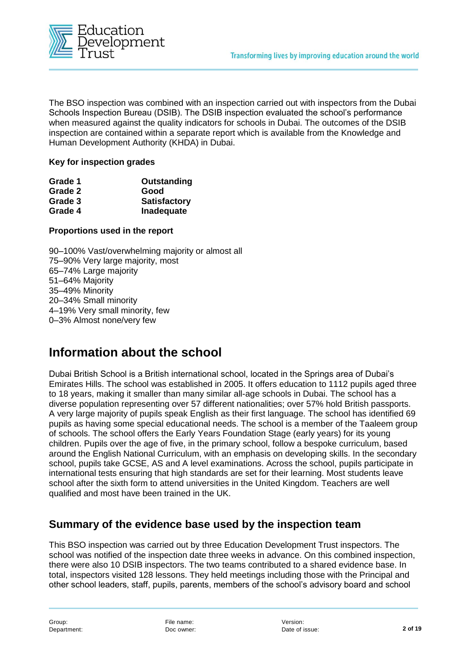

The BSO inspection was combined with an inspection carried out with inspectors from the Dubai Schools Inspection Bureau (DSIB). The DSIB inspection evaluated the school's performance when measured against the quality indicators for schools in Dubai. The outcomes of the DSIB inspection are contained within a separate report which is available from the Knowledge and Human Development Authority (KHDA) in Dubai.

#### **Key for inspection grades**

| Grade 1 | Outstanding         |
|---------|---------------------|
| Grade 2 | Good                |
| Grade 3 | <b>Satisfactory</b> |
| Grade 4 | Inadequate          |

#### **Proportions used in the report**

90–100% Vast/overwhelming majority or almost all 75–90% Very large majority, most 65–74% Large majority 51–64% Majority 35–49% Minority 20–34% Small minority 4–19% Very small minority, few 0–3% Almost none/very few

## **Information about the school**

Dubai British School is a British international school, located in the Springs area of Dubai's Emirates Hills. The school was established in 2005. It offers education to 1112 pupils aged three to 18 years, making it smaller than many similar all-age schools in Dubai. The school has a diverse population representing over 57 different nationalities; over 57% hold British passports. A very large majority of pupils speak English as their first language. The school has identified 69 pupils as having some special educational needs. The school is a member of the Taaleem group of schools. The school offers the Early Years Foundation Stage (early years) for its young children. Pupils over the age of five, in the primary school, follow a bespoke curriculum, based around the English National Curriculum, with an emphasis on developing skills. In the secondary school, pupils take GCSE, AS and A level examinations. Across the school, pupils participate in international tests ensuring that high standards are set for their learning. Most students leave school after the sixth form to attend universities in the United Kingdom. Teachers are well qualified and most have been trained in the UK.

#### **Summary of the evidence base used by the inspection team**

This BSO inspection was carried out by three Education Development Trust inspectors. The school was notified of the inspection date three weeks in advance. On this combined inspection, there were also 10 DSIB inspectors. The two teams contributed to a shared evidence base. In total, inspectors visited 128 lessons. They held meetings including those with the Principal and other school leaders, staff, pupils, parents, members of the school's advisory board and school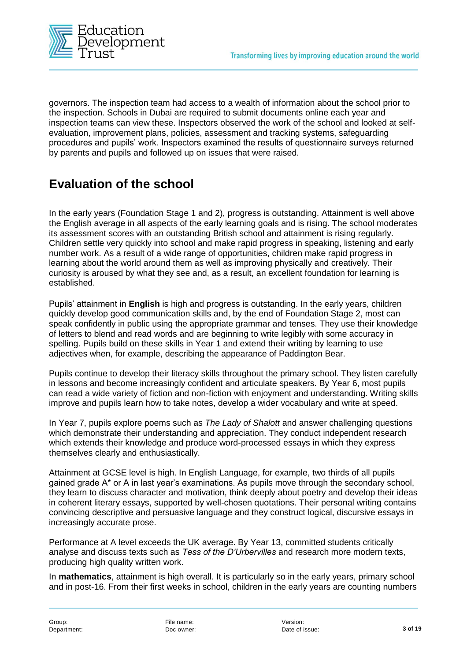

governors. The inspection team had access to a wealth of information about the school prior to the inspection. Schools in Dubai are required to submit documents online each year and inspection teams can view these. Inspectors observed the work of the school and looked at selfevaluation, improvement plans, policies, assessment and tracking systems, safeguarding procedures and pupils' work. Inspectors examined the results of questionnaire surveys returned by parents and pupils and followed up on issues that were raised.

# **Evaluation of the school**

In the early years (Foundation Stage 1 and 2), progress is outstanding. Attainment is well above the English average in all aspects of the early learning goals and is rising. The school moderates its assessment scores with an outstanding British school and attainment is rising regularly. Children settle very quickly into school and make rapid progress in speaking, listening and early number work. As a result of a wide range of opportunities, children make rapid progress in learning about the world around them as well as improving physically and creatively. Their curiosity is aroused by what they see and, as a result, an excellent foundation for learning is established.

Pupils' attainment in **English** is high and progress is outstanding. In the early years, children quickly develop good communication skills and, by the end of Foundation Stage 2, most can speak confidently in public using the appropriate grammar and tenses. They use their knowledge of letters to blend and read words and are beginning to write legibly with some accuracy in spelling. Pupils build on these skills in Year 1 and extend their writing by learning to use adjectives when, for example, describing the appearance of Paddington Bear.

Pupils continue to develop their literacy skills throughout the primary school. They listen carefully in lessons and become increasingly confident and articulate speakers. By Year 6, most pupils can read a wide variety of fiction and non-fiction with enjoyment and understanding. Writing skills improve and pupils learn how to take notes, develop a wider vocabulary and write at speed.

In Year 7, pupils explore poems such as *The Lady of Shalott* and answer challenging questions which demonstrate their understanding and appreciation. They conduct independent research which extends their knowledge and produce word-processed essays in which they express themselves clearly and enthusiastically.

Attainment at GCSE level is high. In English Language, for example, two thirds of all pupils gained grade A\* or A in last year's examinations. As pupils move through the secondary school, they learn to discuss character and motivation, think deeply about poetry and develop their ideas in coherent literary essays, supported by well-chosen quotations. Their personal writing contains convincing descriptive and persuasive language and they construct logical, discursive essays in increasingly accurate prose.

Performance at A level exceeds the UK average. By Year 13, committed students critically analyse and discuss texts such as *Tess of the D'Urbervilles* and research more modern texts, producing high quality written work.

In **mathematics**, attainment is high overall. It is particularly so in the early years, primary school and in post-16. From their first weeks in school, children in the early years are counting numbers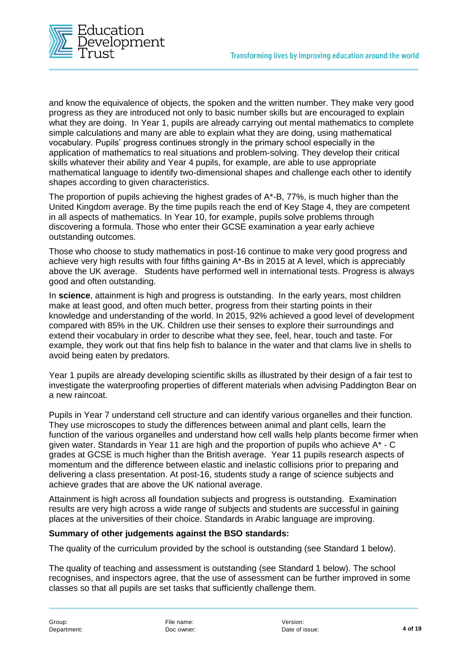

and know the equivalence of objects, the spoken and the written number. They make very good progress as they are introduced not only to basic number skills but are encouraged to explain what they are doing. In Year 1, pupils are already carrying out mental mathematics to complete simple calculations and many are able to explain what they are doing, using mathematical vocabulary. Pupils' progress continues strongly in the primary school especially in the application of mathematics to real situations and problem-solving. They develop their critical skills whatever their ability and Year 4 pupils, for example, are able to use appropriate mathematical language to identify two-dimensional shapes and challenge each other to identify shapes according to given characteristics.

The proportion of pupils achieving the highest grades of A\*-B, 77%, is much higher than the United Kingdom average. By the time pupils reach the end of Key Stage 4, they are competent in all aspects of mathematics. In Year 10, for example, pupils solve problems through discovering a formula. Those who enter their GCSE examination a year early achieve outstanding outcomes.

Those who choose to study mathematics in post-16 continue to make very good progress and achieve very high results with four fifths gaining A\*-Bs in 2015 at A level, which is appreciably above the UK average. Students have performed well in international tests. Progress is always good and often outstanding.

In **science**, attainment is high and progress is outstanding. In the early years, most children make at least good, and often much better, progress from their starting points in their knowledge and understanding of the world. In 2015, 92% achieved a good level of development compared with 85% in the UK. Children use their senses to explore their surroundings and extend their vocabulary in order to describe what they see, feel, hear, touch and taste. For example, they work out that fins help fish to balance in the water and that clams live in shells to avoid being eaten by predators.

Year 1 pupils are already developing scientific skills as illustrated by their design of a fair test to investigate the waterproofing properties of different materials when advising Paddington Bear on a new raincoat.

Pupils in Year 7 understand cell structure and can identify various organelles and their function. They use microscopes to study the differences between animal and plant cells, learn the function of the various organelles and understand how cell walls help plants become firmer when given water. Standards in Year 11 are high and the proportion of pupils who achieve  $A^*$  - C grades at GCSE is much higher than the British average. Year 11 pupils research aspects of momentum and the difference between elastic and inelastic collisions prior to preparing and delivering a class presentation. At post-16, students study a range of science subjects and achieve grades that are above the UK national average.

Attainment is high across all foundation subjects and progress is outstanding. Examination results are very high across a wide range of subjects and students are successful in gaining places at the universities of their choice. Standards in Arabic language are improving.

#### **Summary of other judgements against the BSO standards:**

The quality of the curriculum provided by the school is outstanding (see Standard 1 below).

The quality of teaching and assessment is outstanding (see Standard 1 below). The school recognises, and inspectors agree, that the use of assessment can be further improved in some classes so that all pupils are set tasks that sufficiently challenge them.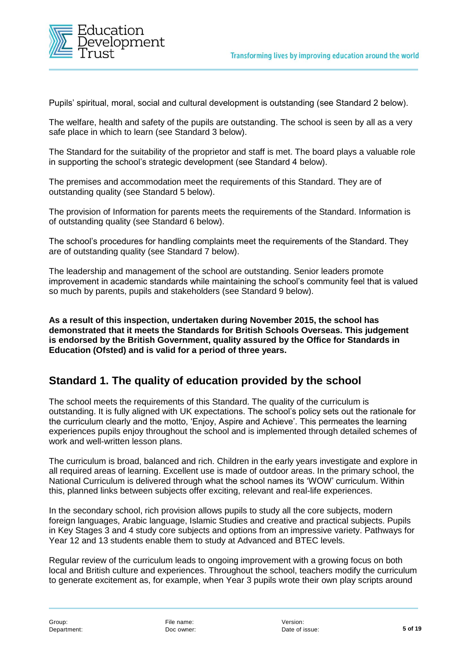

Pupils' spiritual, moral, social and cultural development is outstanding (see Standard 2 below).

The welfare, health and safety of the pupils are outstanding. The school is seen by all as a very safe place in which to learn (see Standard 3 below).

The Standard for the suitability of the proprietor and staff is met. The board plays a valuable role in supporting the school's strategic development (see Standard 4 below).

The premises and accommodation meet the requirements of this Standard. They are of outstanding quality (see Standard 5 below).

The provision of Information for parents meets the requirements of the Standard. Information is of outstanding quality (see Standard 6 below).

The school's procedures for handling complaints meet the requirements of the Standard. They are of outstanding quality (see Standard 7 below).

The leadership and management of the school are outstanding. Senior leaders promote improvement in academic standards while maintaining the school's community feel that is valued so much by parents, pupils and stakeholders (see Standard 9 below).

**As a result of this inspection, undertaken during November 2015, the school has demonstrated that it meets the Standards for British Schools Overseas. This judgement is endorsed by the British Government, quality assured by the Office for Standards in Education (Ofsted) and is valid for a period of three years.** 

## **Standard 1. The quality of education provided by the school**

The school meets the requirements of this Standard. The quality of the curriculum is outstanding. It is fully aligned with UK expectations. The school's policy sets out the rationale for the curriculum clearly and the motto, 'Enjoy, Aspire and Achieve'. This permeates the learning experiences pupils enjoy throughout the school and is implemented through detailed schemes of work and well-written lesson plans.

The curriculum is broad, balanced and rich. Children in the early years investigate and explore in all required areas of learning. Excellent use is made of outdoor areas. In the primary school, the National Curriculum is delivered through what the school names its 'WOW' curriculum. Within this, planned links between subjects offer exciting, relevant and real-life experiences.

In the secondary school, rich provision allows pupils to study all the core subjects, modern foreign languages, Arabic language, Islamic Studies and creative and practical subjects. Pupils in Key Stages 3 and 4 study core subjects and options from an impressive variety. Pathways for Year 12 and 13 students enable them to study at Advanced and BTEC levels.

Regular review of the curriculum leads to ongoing improvement with a growing focus on both local and British culture and experiences. Throughout the school, teachers modify the curriculum to generate excitement as, for example, when Year 3 pupils wrote their own play scripts around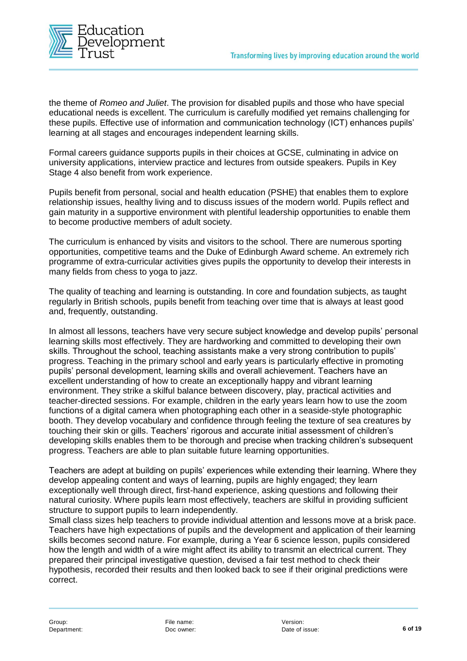

the theme of *Romeo and Juliet*. The provision for disabled pupils and those who have special educational needs is excellent. The curriculum is carefully modified yet remains challenging for these pupils. Effective use of information and communication technology (ICT) enhances pupils' learning at all stages and encourages independent learning skills.

Formal careers guidance supports pupils in their choices at GCSE, culminating in advice on university applications, interview practice and lectures from outside speakers. Pupils in Key Stage 4 also benefit from work experience.

Pupils benefit from personal, social and health education (PSHE) that enables them to explore relationship issues, healthy living and to discuss issues of the modern world. Pupils reflect and gain maturity in a supportive environment with plentiful leadership opportunities to enable them to become productive members of adult society.

The curriculum is enhanced by visits and visitors to the school. There are numerous sporting opportunities, competitive teams and the Duke of Edinburgh Award scheme. An extremely rich programme of extra-curricular activities gives pupils the opportunity to develop their interests in many fields from chess to yoga to jazz.

The quality of teaching and learning is outstanding. In core and foundation subjects, as taught regularly in British schools, pupils benefit from teaching over time that is always at least good and, frequently, outstanding.

In almost all lessons, teachers have very secure subject knowledge and develop pupils' personal learning skills most effectively. They are hardworking and committed to developing their own skills. Throughout the school, teaching assistants make a very strong contribution to pupils' progress. Teaching in the primary school and early years is particularly effective in promoting pupils' personal development, learning skills and overall achievement. Teachers have an excellent understanding of how to create an exceptionally happy and vibrant learning environment. They strike a skilful balance between discovery, play, practical activities and teacher-directed sessions. For example, children in the early years learn how to use the zoom functions of a digital camera when photographing each other in a seaside-style photographic booth. They develop vocabulary and confidence through feeling the texture of sea creatures by touching their skin or gills. Teachers' rigorous and accurate initial assessment of children's developing skills enables them to be thorough and precise when tracking children's subsequent progress. Teachers are able to plan suitable future learning opportunities.

Teachers are adept at building on pupils' experiences while extending their learning. Where they develop appealing content and ways of learning, pupils are highly engaged; they learn exceptionally well through direct, first-hand experience, asking questions and following their natural curiosity. Where pupils learn most effectively, teachers are skilful in providing sufficient structure to support pupils to learn independently.

Small class sizes help teachers to provide individual attention and lessons move at a brisk pace. Teachers have high expectations of pupils and the development and application of their learning skills becomes second nature. For example, during a Year 6 science lesson, pupils considered how the length and width of a wire might affect its ability to transmit an electrical current. They prepared their principal investigative question, devised a fair test method to check their hypothesis, recorded their results and then looked back to see if their original predictions were correct.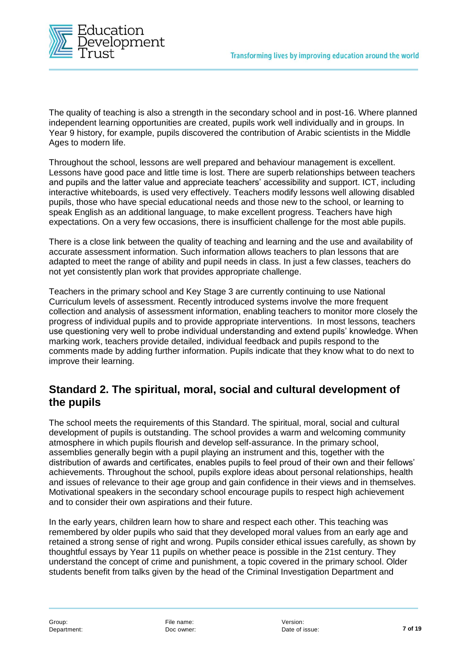

The quality of teaching is also a strength in the secondary school and in post-16. Where planned independent learning opportunities are created, pupils work well individually and in groups. In Year 9 history, for example, pupils discovered the contribution of Arabic scientists in the Middle Ages to modern life.

Throughout the school, lessons are well prepared and behaviour management is excellent. Lessons have good pace and little time is lost. There are superb relationships between teachers and pupils and the latter value and appreciate teachers' accessibility and support. ICT, including interactive whiteboards, is used very effectively. Teachers modify lessons well allowing disabled pupils, those who have special educational needs and those new to the school, or learning to speak English as an additional language, to make excellent progress. Teachers have high expectations. On a very few occasions, there is insufficient challenge for the most able pupils.

There is a close link between the quality of teaching and learning and the use and availability of accurate assessment information. Such information allows teachers to plan lessons that are adapted to meet the range of ability and pupil needs in class. In just a few classes, teachers do not yet consistently plan work that provides appropriate challenge.

Teachers in the primary school and Key Stage 3 are currently continuing to use National Curriculum levels of assessment. Recently introduced systems involve the more frequent collection and analysis of assessment information, enabling teachers to monitor more closely the progress of individual pupils and to provide appropriate interventions. In most lessons, teachers use questioning very well to probe individual understanding and extend pupils' knowledge. When marking work, teachers provide detailed, individual feedback and pupils respond to the comments made by adding further information. Pupils indicate that they know what to do next to improve their learning.

## **Standard 2. The spiritual, moral, social and cultural development of the pupils**

The school meets the requirements of this Standard. The spiritual, moral, social and cultural development of pupils is outstanding. The school provides a warm and welcoming community atmosphere in which pupils flourish and develop self-assurance. In the primary school, assemblies generally begin with a pupil playing an instrument and this, together with the distribution of awards and certificates, enables pupils to feel proud of their own and their fellows' achievements. Throughout the school, pupils explore ideas about personal relationships, health and issues of relevance to their age group and gain confidence in their views and in themselves. Motivational speakers in the secondary school encourage pupils to respect high achievement and to consider their own aspirations and their future.

In the early years, children learn how to share and respect each other. This teaching was remembered by older pupils who said that they developed moral values from an early age and retained a strong sense of right and wrong. Pupils consider ethical issues carefully, as shown by thoughtful essays by Year 11 pupils on whether peace is possible in the 21st century. They understand the concept of crime and punishment, a topic covered in the primary school. Older students benefit from talks given by the head of the Criminal Investigation Department and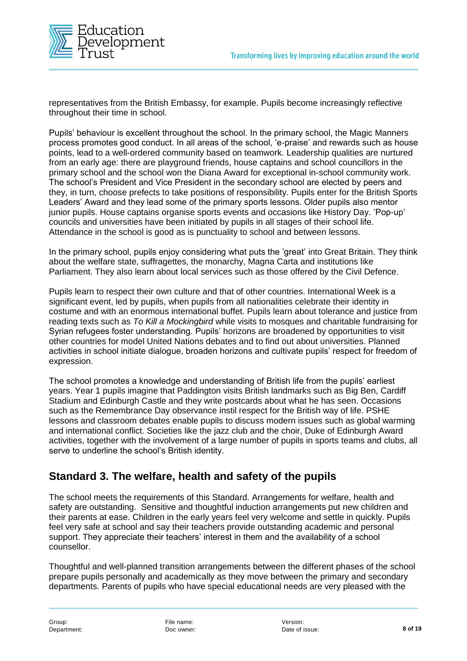

representatives from the British Embassy, for example. Pupils become increasingly reflective throughout their time in school.

Pupils' behaviour is excellent throughout the school. In the primary school, the Magic Manners process promotes good conduct. In all areas of the school, 'e-praise' and rewards such as house points, lead to a well-ordered community based on teamwork. Leadership qualities are nurtured from an early age: there are playground friends, house captains and school councillors in the primary school and the school won the Diana Award for exceptional in-school community work. The school's President and Vice President in the secondary school are elected by peers and they, in turn, choose prefects to take positions of responsibility. Pupils enter for the British Sports Leaders' Award and they lead some of the primary sports lessons. Older pupils also mentor junior pupils. House captains organise sports events and occasions like History Day. 'Pop-up' councils and universities have been initiated by pupils in all stages of their school life. Attendance in the school is good as is punctuality to school and between lessons.

In the primary school, pupils enjoy considering what puts the 'great' into Great Britain. They think about the welfare state, suffragettes, the monarchy, Magna Carta and institutions like Parliament. They also learn about local services such as those offered by the Civil Defence.

Pupils learn to respect their own culture and that of other countries. International Week is a significant event, led by pupils, when pupils from all nationalities celebrate their identity in costume and with an enormous international buffet. Pupils learn about tolerance and justice from reading texts such as *To Kill a Mockingbird* while visits to mosques and charitable fundraising for Syrian refugees foster understanding. Pupils' horizons are broadened by opportunities to visit other countries for model United Nations debates and to find out about universities. Planned activities in school initiate dialogue, broaden horizons and cultivate pupils' respect for freedom of expression.

The school promotes a knowledge and understanding of British life from the pupils' earliest years. Year 1 pupils imagine that Paddington visits British landmarks such as Big Ben, Cardiff Stadium and Edinburgh Castle and they write postcards about what he has seen. Occasions such as the Remembrance Day observance instil respect for the British way of life. PSHE lessons and classroom debates enable pupils to discuss modern issues such as global warming and international conflict. Societies like the jazz club and the choir, Duke of Edinburgh Award activities, together with the involvement of a large number of pupils in sports teams and clubs, all serve to underline the school's British identity.

## **Standard 3. The welfare, health and safety of the pupils**

The school meets the requirements of this Standard. Arrangements for welfare, health and safety are outstanding. Sensitive and thoughtful induction arrangements put new children and their parents at ease. Children in the early years feel very welcome and settle in quickly. Pupils feel very safe at school and say their teachers provide outstanding academic and personal support. They appreciate their teachers' interest in them and the availability of a school counsellor.

Thoughtful and well-planned transition arrangements between the different phases of the school prepare pupils personally and academically as they move between the primary and secondary departments. Parents of pupils who have special educational needs are very pleased with the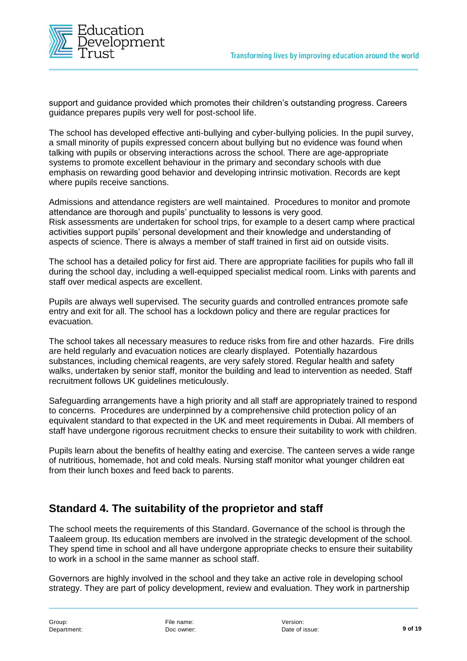

support and guidance provided which promotes their children's outstanding progress. Careers guidance prepares pupils very well for post-school life.

The school has developed effective anti-bullying and cyber-bullying policies. In the pupil survey, a small minority of pupils expressed concern about bullying but no evidence was found when talking with pupils or observing interactions across the school. There are age-appropriate systems to promote excellent behaviour in the primary and secondary schools with due emphasis on rewarding good behavior and developing intrinsic motivation. Records are kept where pupils receive sanctions.

Admissions and attendance registers are well maintained. Procedures to monitor and promote attendance are thorough and pupils' punctuality to lessons is very good. Risk assessments are undertaken for school trips, for example to a desert camp where practical activities support pupils' personal development and their knowledge and understanding of aspects of science. There is always a member of staff trained in first aid on outside visits.

The school has a detailed policy for first aid. There are appropriate facilities for pupils who fall ill during the school day, including a well-equipped specialist medical room. Links with parents and staff over medical aspects are excellent.

Pupils are always well supervised. The security guards and controlled entrances promote safe entry and exit for all. The school has a lockdown policy and there are regular practices for evacuation.

The school takes all necessary measures to reduce risks from fire and other hazards. Fire drills are held regularly and evacuation notices are clearly displayed. Potentially hazardous substances, including chemical reagents, are very safely stored. Regular health and safety walks, undertaken by senior staff, monitor the building and lead to intervention as needed. Staff recruitment follows UK guidelines meticulously.

Safeguarding arrangements have a high priority and all staff are appropriately trained to respond to concerns. Procedures are underpinned by a comprehensive child protection policy of an equivalent standard to that expected in the UK and meet requirements in Dubai. All members of staff have undergone rigorous recruitment checks to ensure their suitability to work with children.

Pupils learn about the benefits of healthy eating and exercise. The canteen serves a wide range of nutritious, homemade, hot and cold meals. Nursing staff monitor what younger children eat from their lunch boxes and feed back to parents.

## **Standard 4. The suitability of the proprietor and staff**

The school meets the requirements of this Standard. Governance of the school is through the Taaleem group. Its education members are involved in the strategic development of the school. They spend time in school and all have undergone appropriate checks to ensure their suitability to work in a school in the same manner as school staff.

Governors are highly involved in the school and they take an active role in developing school strategy. They are part of policy development, review and evaluation. They work in partnership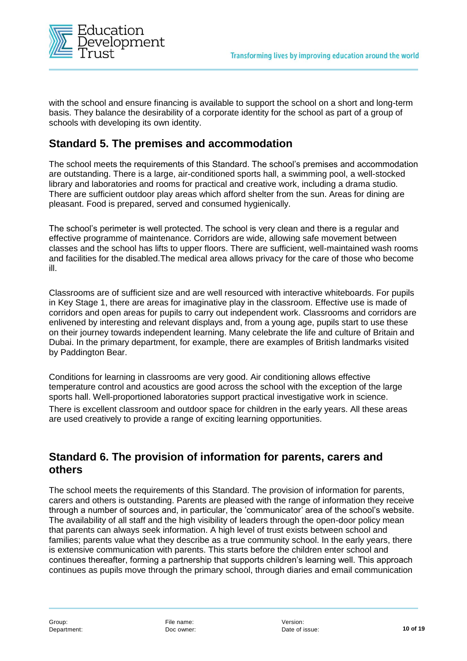

with the school and ensure financing is available to support the school on a short and long-term basis. They balance the desirability of a corporate identity for the school as part of a group of schools with developing its own identity.

## **Standard 5. The premises and accommodation**

The school meets the requirements of this Standard. The school's premises and accommodation are outstanding. There is a large, air-conditioned sports hall, a swimming pool, a well-stocked library and laboratories and rooms for practical and creative work, including a drama studio. There are sufficient outdoor play areas which afford shelter from the sun. Areas for dining are pleasant. Food is prepared, served and consumed hygienically.

The school's perimeter is well protected. The school is very clean and there is a regular and effective programme of maintenance. Corridors are wide, allowing safe movement between classes and the school has lifts to upper floors. There are sufficient, well-maintained wash rooms and facilities for the disabled.The medical area allows privacy for the care of those who become ill.

Classrooms are of sufficient size and are well resourced with interactive whiteboards. For pupils in Key Stage 1, there are areas for imaginative play in the classroom. Effective use is made of corridors and open areas for pupils to carry out independent work. Classrooms and corridors are enlivened by interesting and relevant displays and, from a young age, pupils start to use these on their journey towards independent learning. Many celebrate the life and culture of Britain and Dubai. In the primary department, for example, there are examples of British landmarks visited by Paddington Bear.

Conditions for learning in classrooms are very good. Air conditioning allows effective temperature control and acoustics are good across the school with the exception of the large sports hall. Well-proportioned laboratories support practical investigative work in science.

There is excellent classroom and outdoor space for children in the early years. All these areas are used creatively to provide a range of exciting learning opportunities.

## **Standard 6. The provision of information for parents, carers and others**

The school meets the requirements of this Standard. The provision of information for parents, carers and others is outstanding. Parents are pleased with the range of information they receive through a number of sources and, in particular, the 'communicator' area of the school's website. The availability of all staff and the high visibility of leaders through the open-door policy mean that parents can always seek information. A high level of trust exists between school and families; parents value what they describe as a true community school. In the early years, there is extensive communication with parents. This starts before the children enter school and continues thereafter, forming a partnership that supports children's learning well. This approach continues as pupils move through the primary school, through diaries and email communication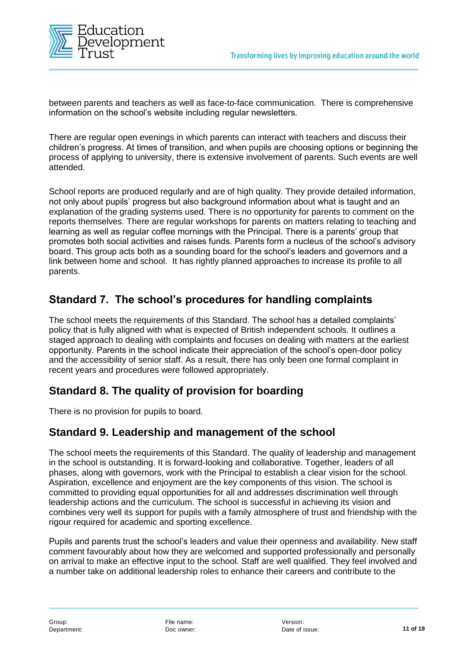

between parents and teachers as well as face-to-face communication. There is comprehensive information on the school's website including regular newsletters.

There are regular open evenings in which parents can interact with teachers and discuss their children's progress. At times of transition, and when pupils are choosing options or beginning the process of applying to university, there is extensive involvement of parents. Such events are well attended.

School reports are produced regularly and are of high quality. They provide detailed information, not only about pupils' progress but also background information about what is taught and an explanation of the grading systems used. There is no opportunity for parents to comment on the reports themselves. There are regular workshops for parents on matters relating to teaching and learning as well as regular coffee mornings with the Principal. There is a parents' group that promotes both social activities and raises funds. Parents form a nucleus of the school's advisory board. This group acts both as a sounding board for the school's leaders and governors and a link between home and school. It has rightly planned approaches to increase its profile to all parents.

## **Standard 7. The school's procedures for handling complaints**

The school meets the requirements of this Standard. The school has a detailed complaints' policy that is fully aligned with what is expected of British independent schools. It outlines a staged approach to dealing with complaints and focuses on dealing with matters at the earliest opportunity. Parents in the school indicate their appreciation of the school's open-door policy and the accessibility of senior staff. As a result, there has only been one formal complaint in recent years and procedures were followed appropriately.

## **Standard 8. The quality of provision for boarding**

There is no provision for pupils to board.

## **Standard 9. Leadership and management of the school**

The school meets the requirements of this Standard. The quality of leadership and management in the school is outstanding. It is forward-looking and collaborative. Together, leaders of all phases, along with governors, work with the Principal to establish a clear vision for the school. Aspiration, excellence and enjoyment are the key components of this vision. The school is committed to providing equal opportunities for all and addresses discrimination well through leadership actions and the curriculum. The school is successful in achieving its vision and combines very well its support for pupils with a family atmosphere of trust and friendship with the rigour required for academic and sporting excellence.

Pupils and parents trust the school's leaders and value their openness and availability. New staff comment favourably about how they are welcomed and supported professionally and personally on arrival to make an effective input to the school. Staff are well qualified. They feel involved and a number take on additional leadership roles to enhance their careers and contribute to the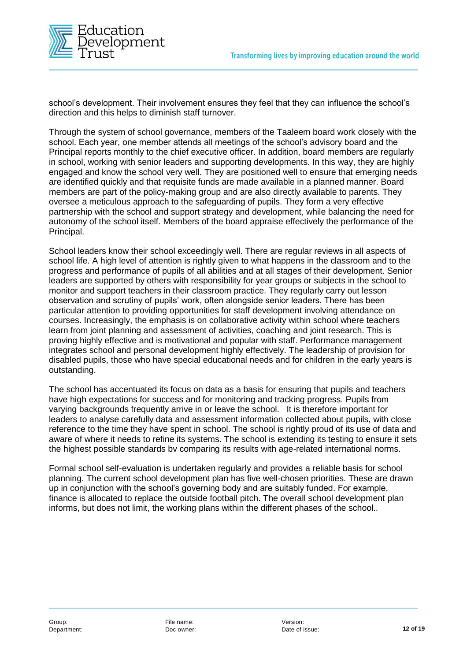

school's development. Their involvement ensures they feel that they can influence the school's direction and this helps to diminish staff turnover.

Through the system of school governance, members of the Taaleem board work closely with the school. Each year, one member attends all meetings of the school's advisory board and the Principal reports monthly to the chief executive officer. In addition, board members are regularly in school, working with senior leaders and supporting developments. In this way, they are highly engaged and know the school very well. They are positioned well to ensure that emerging needs are identified quickly and that requisite funds are made available in a planned manner. Board members are part of the policy-making group and are also directly available to parents. They oversee a meticulous approach to the safeguarding of pupils. They form a very effective partnership with the school and support strategy and development, while balancing the need for autonomy of the school itself. Members of the board appraise effectively the performance of the Principal.

School leaders know their school exceedingly well. There are regular reviews in all aspects of school life. A high level of attention is rightly given to what happens in the classroom and to the progress and performance of pupils of all abilities and at all stages of their development. Senior leaders are supported by others with responsibility for year groups or subjects in the school to monitor and support teachers in their classroom practice. They regularly carry out lesson observation and scrutiny of pupils' work, often alongside senior leaders. There has been particular attention to providing opportunities for staff development involving attendance on courses. Increasingly, the emphasis is on collaborative activity within school where teachers learn from joint planning and assessment of activities, coaching and joint research. This is proving highly effective and is motivational and popular with staff. Performance management integrates school and personal development highly effectively. The leadership of provision for disabled pupils, those who have special educational needs and for children in the early years is outstanding.

The school has accentuated its focus on data as a basis for ensuring that pupils and teachers have high expectations for success and for monitoring and tracking progress. Pupils from varying backgrounds frequently arrive in or leave the school. It is therefore important for leaders to analyse carefully data and assessment information collected about pupils, with close reference to the time they have spent in school. The school is rightly proud of its use of data and aware of where it needs to refine its systems. The school is extending its testing to ensure it sets the highest possible standards bv comparing its results with age-related international norms.

Formal school self-evaluation is undertaken regularly and provides a reliable basis for school planning. The current school development plan has five well-chosen priorities. These are drawn up in conjunction with the school's governing body and are suitably funded. For example, finance is allocated to replace the outside football pitch. The overall school development plan informs, but does not limit, the working plans within the different phases of the school..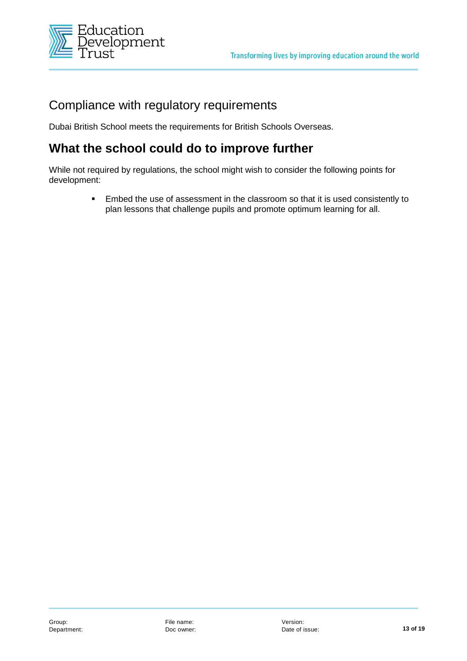

# Compliance with regulatory requirements

Dubai British School meets the requirements for British Schools Overseas.

# **What the school could do to improve further**

While not required by regulations, the school might wish to consider the following points for development:

> **Embed the use of assessment in the classroom so that it is used consistently to** plan lessons that challenge pupils and promote optimum learning for all.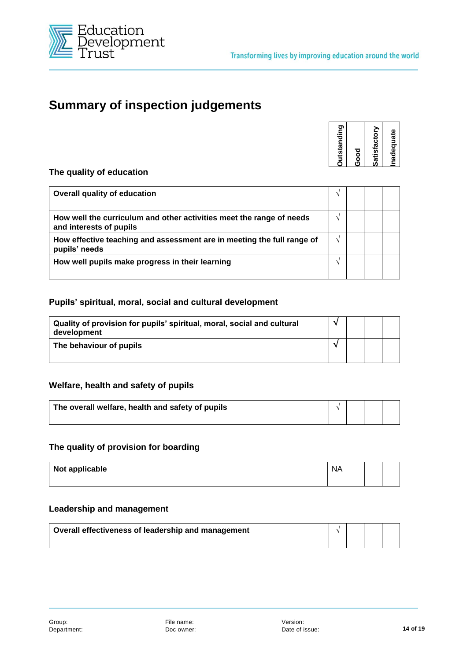

# **Summary of inspection judgements**

| <b>Outstanding</b> | ნ<br>ამ | Satisfactory | Inadequate |
|--------------------|---------|--------------|------------|
|                    |         |              |            |

#### **The quality of education**

| Overall quality of education                                                                    |  |  |
|-------------------------------------------------------------------------------------------------|--|--|
| How well the curriculum and other activities meet the range of needs<br>and interests of pupils |  |  |
| How effective teaching and assessment are in meeting the full range of<br>pupils' needs         |  |  |
| How well pupils make progress in their learning                                                 |  |  |

#### **Pupils' spiritual, moral, social and cultural development**

| Quality of provision for pupils' spiritual, moral, social and cultural<br>development |  |  |
|---------------------------------------------------------------------------------------|--|--|
| The behaviour of pupils                                                               |  |  |

#### **Welfare, health and safety of pupils**

| The overall welfare, health and safety of pupils |  |  |
|--------------------------------------------------|--|--|
|                                                  |  |  |

#### **The quality of provision for boarding**

| Not applicable | <b>NA</b> |  |  |
|----------------|-----------|--|--|
|                |           |  |  |

#### **Leadership and management**

| Overall effectiveness of leadership and management |  |  |
|----------------------------------------------------|--|--|
|                                                    |  |  |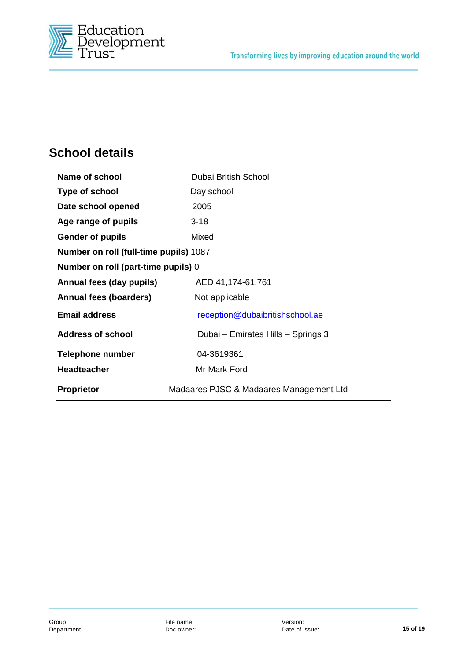

# **School details**

| <b>Name of school</b>                  | Dubai British School                    |
|----------------------------------------|-----------------------------------------|
| Type of school                         | Day school                              |
| Date school opened                     | 2005                                    |
| Age range of pupils                    | $3 - 18$                                |
| <b>Gender of pupils</b>                | Mixed                                   |
| Number on roll (full-time pupils) 1087 |                                         |
| Number on roll (part-time pupils) 0    |                                         |
| Annual fees (day pupils)               | AED 41,174-61,761                       |
| Annual fees (boarders)                 | Not applicable                          |
| <b>Email address</b>                   | reception@dubaibritishschool.ae         |
| <b>Address of school</b>               | Dubai – Emirates Hills – Springs 3      |
| <b>Telephone number</b>                | 04-3619361                              |
| <b>Headteacher</b>                     | Mr Mark Ford                            |
| <b>Proprietor</b>                      | Madaares PJSC & Madaares Management Ltd |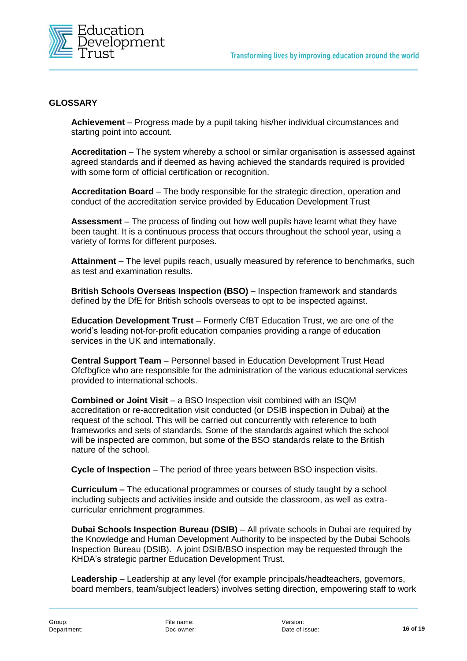

#### **GLOSSARY**

**Achievement** – Progress made by a pupil taking his/her individual circumstances and starting point into account.

**Accreditation** – The system whereby a school or similar organisation is assessed against agreed standards and if deemed as having achieved the standards required is provided with some form of official certification or recognition.

**Accreditation Board** – The body responsible for the strategic direction, operation and conduct of the accreditation service provided by Education Development Trust

**Assessment** – The process of finding out how well pupils have learnt what they have been taught. It is a continuous process that occurs throughout the school year, using a variety of forms for different purposes.

**Attainment** – The level pupils reach, usually measured by reference to benchmarks, such as test and examination results.

**British Schools Overseas Inspection (BSO)** – Inspection framework and standards defined by the DfE for British schools overseas to opt to be inspected against.

**Education Development Trust** – Formerly CfBT Education Trust, we are one of the world's leading not-for-profit education companies providing a range of education services in the UK and internationally.

**Central Support Team** – Personnel based in Education Development Trust Head Ofcfbgfice who are responsible for the administration of the various educational services provided to international schools.

**Combined or Joint Visit** – a BSO Inspection visit combined with an ISQM accreditation or re-accreditation visit conducted (or DSIB inspection in Dubai) at the request of the school. This will be carried out concurrently with reference to both frameworks and sets of standards. Some of the standards against which the school will be inspected are common, but some of the BSO standards relate to the British nature of the school.

**Cycle of Inspection** – The period of three years between BSO inspection visits.

**Curriculum –** The educational programmes or courses of study taught by a school including subjects and activities inside and outside the classroom, as well as extracurricular enrichment programmes.

**Dubai Schools Inspection Bureau (DSIB)** – All private schools in Dubai are required by the Knowledge and Human Development Authority to be inspected by the Dubai Schools Inspection Bureau (DSIB). A joint DSIB/BSO inspection may be requested through the KHDA's strategic partner Education Development Trust.

**Leadership** – Leadership at any level (for example principals/headteachers, governors, board members, team/subject leaders) involves setting direction, empowering staff to work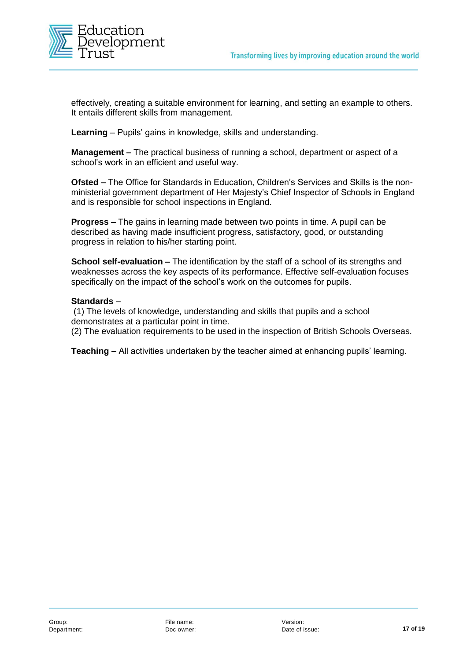

effectively, creating a suitable environment for learning, and setting an example to others. It entails different skills from management.

**Learning** – Pupils' gains in knowledge, skills and understanding.

**Management –** The practical business of running a school, department or aspect of a school's work in an efficient and useful way.

**Ofsted –** The Office for Standards in Education, Children's Services and Skills is the nonministerial government department of Her Majesty's Chief Inspector of Schools in England and is responsible for school inspections in England.

**Progress –** The gains in learning made between two points in time. A pupil can be described as having made insufficient progress, satisfactory, good, or outstanding progress in relation to his/her starting point.

**School self-evaluation –** The identification by the staff of a school of its strengths and weaknesses across the key aspects of its performance. Effective self-evaluation focuses specifically on the impact of the school's work on the outcomes for pupils.

#### **Standards** –

(1) The levels of knowledge, understanding and skills that pupils and a school demonstrates at a particular point in time.

(2) The evaluation requirements to be used in the inspection of British Schools Overseas.

**Teaching –** All activities undertaken by the teacher aimed at enhancing pupils' learning.